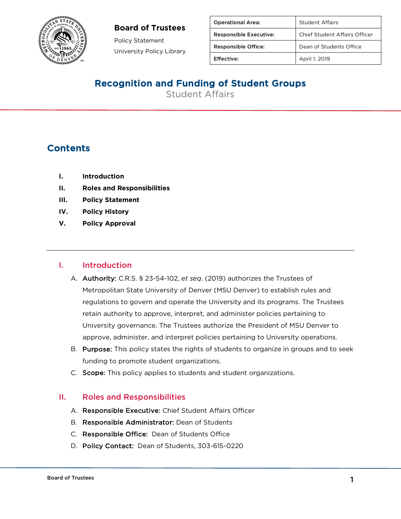### **Board of Trustees**



Policy Statement University Policy Library

| <b>Operational Area:</b>      | <b>Student Affairs</b>               |
|-------------------------------|--------------------------------------|
| <b>Responsible Executive:</b> | <b>Chief Student Affairs Officer</b> |
| <b>Responsible Office:</b>    | Dean of Students Office              |
| Effective:                    | April 1, 2019                        |

# Recognition and Funding of Student Groups

Student Affairs

## **Contents**

- **I. Introduction**
- **II. Roles and Responsibilities**
- **III. Policy Statement**
- **IV. Policy History**
- **V. Policy Approval**

#### I. Introduction

- A. Authority: C.R.S. § 23-54-102, *et seq*. (2019) authorizes the Trustees of Metropolitan State University of Denver (MSU Denver) to establish rules and regulations to govern and operate the University and its programs. The Trustees retain authority to approve, interpret, and administer policies pertaining to University governance. The Trustees authorize the President of MSU Denver to approve, administer, and interpret policies pertaining to University operations.
- B. Purpose: This policy states the rights of students to organize in groups and to seek funding to promote student organizations.
- C. Scope: This policy applies to students and student organizations.

#### II. Roles and Responsibilities

- A. Responsible Executive: Chief Student Affairs Officer
- B. Responsible Administrator: Dean of Students
- C. Responsible Office: Dean of Students Office
- D. Policy Contact: Dean of Students, 303-615-0220